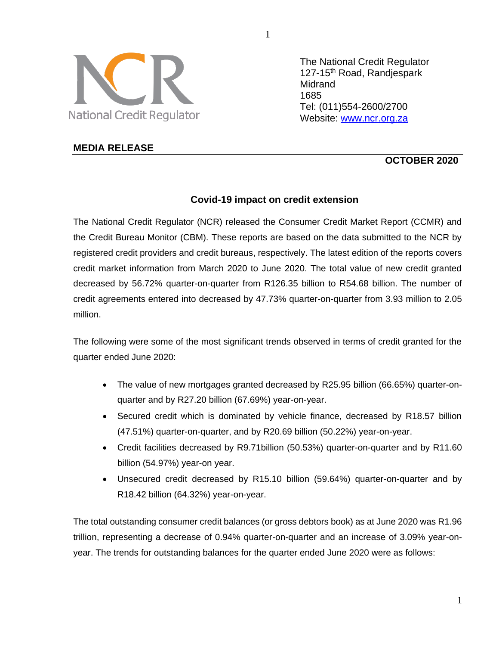

**MEDIA RELEASE**

The National Credit Regulator 127-15<sup>th</sup> Road, Randiespark **Midrand** 1685 Tel: (011)554-2600/2700 Website: [www.ncr.org.za](http://www.ncr.org.za/)

# **OCTOBER 2020**

## **Covid-19 impact on credit extension**

The National Credit Regulator (NCR) released the Consumer Credit Market Report (CCMR) and the Credit Bureau Monitor (CBM). These reports are based on the data submitted to the NCR by registered credit providers and credit bureaus, respectively. The latest edition of the reports covers credit market information from March 2020 to June 2020. The total value of new credit granted decreased by 56.72% quarter-on-quarter from R126.35 billion to R54.68 billion. The number of credit agreements entered into decreased by 47.73% quarter-on-quarter from 3.93 million to 2.05 million.

The following were some of the most significant trends observed in terms of credit granted for the quarter ended June 2020:

- The value of new mortgages granted decreased by R25.95 billion (66.65%) quarter-onquarter and by R27.20 billion (67.69%) year-on-year.
- Secured credit which is dominated by vehicle finance, decreased by R18.57 billion (47.51%) quarter-on-quarter, and by R20.69 billion (50.22%) year-on-year.
- Credit facilities decreased by R9.71billion (50.53%) quarter-on-quarter and by R11.60 billion (54.97%) year-on year.
- Unsecured credit decreased by R15.10 billion (59.64%) quarter-on-quarter and by R18.42 billion (64.32%) year-on-year.

The total outstanding consumer credit balances (or gross debtors book) as at June 2020 was R1.96 trillion, representing a decrease of 0.94% quarter-on-quarter and an increase of 3.09% year-onyear. The trends for outstanding balances for the quarter ended June 2020 were as follows:

1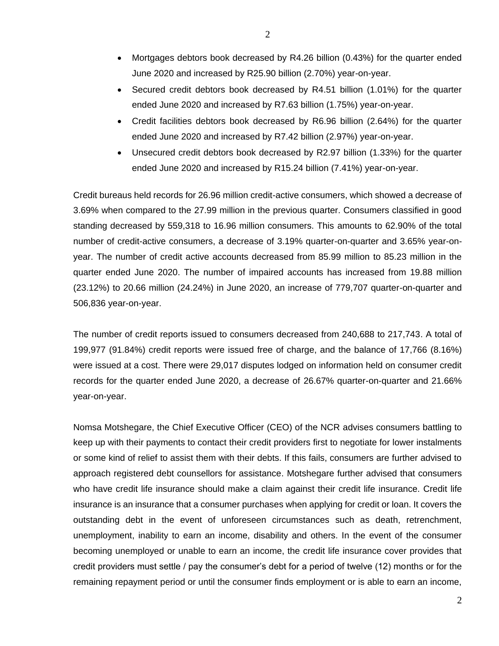- Mortgages debtors book decreased by R4.26 billion (0.43%) for the quarter ended June 2020 and increased by R25.90 billion (2.70%) year-on-year.
- Secured credit debtors book decreased by R4.51 billion (1.01%) for the quarter ended June 2020 and increased by R7.63 billion (1.75%) year-on-year.
- Credit facilities debtors book decreased by R6.96 billion (2.64%) for the quarter ended June 2020 and increased by R7.42 billion (2.97%) year-on-year.
- Unsecured credit debtors book decreased by R2.97 billion (1.33%) for the quarter ended June 2020 and increased by R15.24 billion (7.41%) year-on-year.

Credit bureaus held records for 26.96 million credit-active consumers, which showed a decrease of 3.69% when compared to the 27.99 million in the previous quarter. Consumers classified in good standing decreased by 559,318 to 16.96 million consumers. This amounts to 62.90% of the total number of credit-active consumers, a decrease of 3.19% quarter-on-quarter and 3.65% year-onyear. The number of credit active accounts decreased from 85.99 million to 85.23 million in the quarter ended June 2020. The number of impaired accounts has increased from 19.88 million (23.12%) to 20.66 million (24.24%) in June 2020, an increase of 779,707 quarter-on-quarter and 506,836 year-on-year.

The number of credit reports issued to consumers decreased from 240,688 to 217,743. A total of 199,977 (91.84%) credit reports were issued free of charge, and the balance of 17,766 (8.16%) were issued at a cost. There were 29,017 disputes lodged on information held on consumer credit records for the quarter ended June 2020, a decrease of 26.67% quarter-on-quarter and 21.66% year-on-year.

Nomsa Motshegare, the Chief Executive Officer (CEO) of the NCR advises consumers battling to keep up with their payments to contact their credit providers first to negotiate for lower instalments or some kind of relief to assist them with their debts. If this fails, consumers are further advised to approach registered debt counsellors for assistance. Motshegare further advised that consumers who have credit life insurance should make a claim against their credit life insurance. Credit life insurance is an insurance that a consumer purchases when applying for credit or loan. It covers the outstanding debt in the event of unforeseen circumstances such as death, retrenchment, unemployment, inability to earn an income, disability and others. In the event of the consumer becoming unemployed or unable to earn an income, the credit life insurance cover provides that credit providers must settle / pay the consumer's debt for a period of twelve (12) months or for the remaining repayment period or until the consumer finds employment or is able to earn an income,